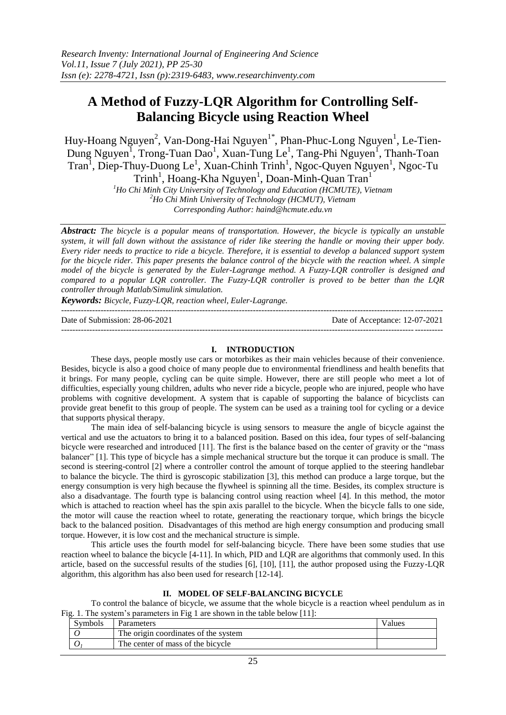# **A Method of Fuzzy-LQR Algorithm for Controlling Self-Balancing Bicycle using Reaction Wheel**

Huy-Hoang Nguyen<sup>2</sup>, Van-Dong-Hai Nguyen<sup>1\*</sup>, Phan-Phuc-Long Nguyen<sup>1</sup>, Le-Tien-Dung Nguyen<sup>1</sup>, Trong-Tuan Dao<sup>1</sup>, Xuan-Tung Le<sup>1</sup>, Tang-Phi Nguyen<sup>1</sup>, Thanh-Toan  $\text{Tran}^1$ , Diep-Thuy-Duong Le<sup>1</sup>, Xuan-Chinh Trinh<sup>1</sup>, Ngoc-Quyen Nguyen<sup>1</sup>, Ngoc-Tu  $\text{Trinh}^1$ , Hoang-Kha Nguyen<sup>1</sup>, Doan-Minh-Quan Tran<sup>1</sup>

*<sup>1</sup>Ho Chi Minh City University of Technology and Education (HCMUTE), Vietnam <sup>2</sup>Ho Chi Minh University of Technology (HCMUT), Vietnam Corresponding Author: [haind@hcmute.edu.vn](mailto:haind@hcmute.edu.vn)*

*Abstract: The bicycle is a popular means of transportation. However, the bicycle is typically an unstable system, it will fall down without the assistance of rider like steering the handle or moving their upper body. Every rider needs to practice to ride a bicycle. Therefore, it is essential to develop a balanced support system for the bicycle rider. This paper presents the balance control of the bicycle with the reaction wheel. A simple model of the bicycle is generated by the Euler-Lagrange method. A Fuzzy-LQR controller is designed and compared to a popular LQR controller. The Fuzzy-LQR controller is proved to be better than the LQR controller through Matlab/Simulink simulation.*

*Keywords: Bicycle, Fuzzy-LQR, reaction wheel, Euler-Lagrange.* ---------------------------------------------------------------------------------------------------------------------------------------

Date of Submission: 28-06-2021 Date of Acceptance: 12-07-2021

## **I. INTRODUCTION**

---------------------------------------------------------------------------------------------------------------------------------------

These days, people mostly use cars or motorbikes as their main vehicles because of their convenience. Besides, bicycle is also a good choice of many people due to environmental friendliness and health benefits that it brings. For many people, cycling can be quite simple. However, there are still people who meet a lot of difficulties, especially young children, adults who never ride a bicycle, people who are injured, people who have problems with cognitive development. A system that is capable of supporting the balance of bicyclists can provide great benefit to this group of people. The system can be used as a training tool for cycling or a device that supports physical therapy.

The main idea of self-balancing bicycle is using sensors to measure the angle of bicycle against the vertical and use the actuators to bring it to a balanced position. Based on this idea, four types of self-balancing bicycle were researched and introduced [11]. The first is the balance based on the center of gravity or the "mass balancer" [1]. This type of bicycle has a simple mechanical structure but the torque it can produce is small. The second is steering-control [2] where a controller control the amount of torque applied to the steering handlebar to balance the bicycle. The third is gyroscopic stabilization [3], this method can produce a large torque, but the energy consumption is very high because the flywheel is spinning all the time. Besides, its complex structure is also a disadvantage. The fourth type is balancing control using reaction wheel [4]. In this method, the motor which is attached to reaction wheel has the spin axis parallel to the bicycle. When the bicycle falls to one side, the motor will cause the reaction wheel to rotate, generating the reactionary torque, which brings the bicycle back to the balanced position. Disadvantages of this method are high energy consumption and producing small torque. However, it is low cost and the mechanical structure is simple.

This article uses the fourth model for self-balancing bicycle. There have been some studies that use reaction wheel to balance the bicycle [4-11]. In which, PID and LQR are algorithms that commonly used. In this article, based on the successful results of the studies [6], [10], [11], the author proposed using the Fuzzy-LQR algorithm, this algorithm has also been used for research [12-14].

## **II. MODEL OF SELF-BALANCING BICYCLE**

To control the balance of bicycle, we assume that the whole bicycle is a reaction wheel pendulum as in Fig. 1. The system's parameters in Fig 1 are shown in the table below [11]:

| Symbols | Parameters                           | ∕alues |
|---------|--------------------------------------|--------|
|         | The origin coordinates of the system |        |
|         | The center of mass of the bicycle    |        |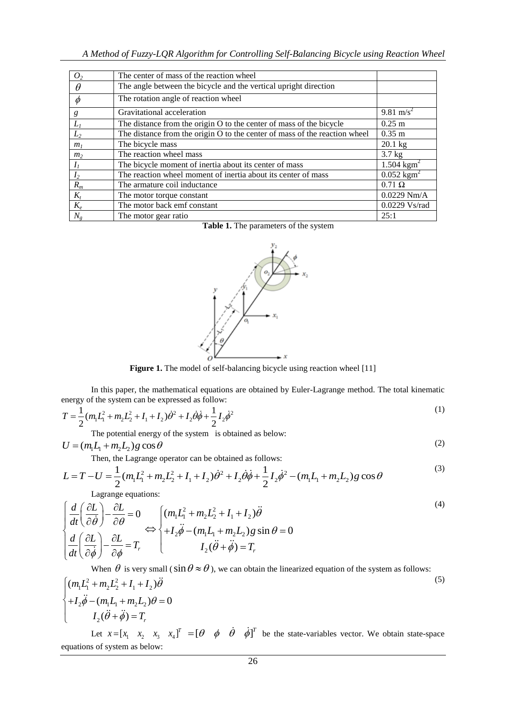| $\mathcal{O}_2$ | The center of mass of the reaction wheel                                   |                          |
|-----------------|----------------------------------------------------------------------------|--------------------------|
| θ               | The angle between the bicycle and the vertical upright direction           |                          |
| $\phi$          | The rotation angle of reaction wheel                                       |                          |
| g               | Gravitational acceleration                                                 | 9.81 m/s <sup>2</sup>    |
| $L_1$           | The distance from the origin O to the center of mass of the bicycle        | $0.25$ m                 |
| $\mathcal{L}$   | The distance from the origin O to the center of mass of the reaction wheel | $0.35 \; \mathrm{m}$     |
| m <sub>1</sub>  | The bicycle mass                                                           | $20.1$ kg                |
| m <sub>2</sub>  | The reaction wheel mass                                                    | $3.7$ kg                 |
| I <sub>1</sub>  | The bicycle moment of inertia about its center of mass                     | $1.504$ kgm <sup>2</sup> |
| I <sub>2</sub>  | The reaction wheel moment of inertia about its center of mass              | $0.052$ kgm <sup>2</sup> |
| $R_m$           | The armature coil inductance                                               | $0.71 \Omega$            |
| $K_t$           | The motor torque constant                                                  | $0.0229$ Nm/A            |
| $K_e$           | The motor back emf constant                                                | $0.0229$ Vs/rad          |
| $N_{\varrho}$   | The motor gear ratio                                                       | 25:1                     |

**Table 1.** The parameters of the system



Figure 1. The model of self-balancing bicycle using reaction wheel [11]

In this paper, the mathematical equations are obtained by Euler-Lagrange method. The total kinematic

In this paper, the mathematical equations are obtained by Euler-Lagrange method. The total kinematic  
energy of the system can be expressed as follow:  

$$
T = \frac{1}{2} (m_1 L_1^2 + m_2 L_2^2 + I_1 + I_2) \dot{\theta}^2 + I_2 \dot{\theta} \dot{\phi} + \frac{1}{2} I_2 \dot{\theta}^2
$$
  
The potential energy of the system is obtained as below:  

$$
U = (m_1 L_1 + m_2 L_2) g \cos \theta
$$
 (2)

$$
U = (m_1 L_1 + m_2 L_2) g \cos \theta
$$
  
Then, the Lagrange operator can be obtained as follows:

The potential energy of the system is obtained as below:  
\n
$$
U = (m_1 L_1 + m_2 L_2) g \cos \theta
$$
\nThen, the Lagrange operator can be obtained as follows:  
\n
$$
L = T - U = \frac{1}{2} (m_1 L_1^2 + m_2 L_2^2 + I_1 + I_2) \dot{\theta}^2 + I_2 \dot{\theta} \dot{\phi} + \frac{1}{2} I_2 \dot{\phi}^2 - (m_1 L_1 + m_2 L_2) g \cos \theta
$$
\n(3)  
\nLagrange equations:

Lagrange equations:

Lagrange equations.  
\n
$$
\begin{cases}\n\frac{d}{dt} \left( \frac{\partial L}{\partial \dot{\theta}} \right) - \frac{\partial L}{\partial \theta} = 0 \\
\frac{d}{dt} \left( \frac{\partial L}{\partial \dot{\phi}} \right) - \frac{\partial L}{\partial \phi} = T_r\n\end{cases} \Longleftrightarrow \begin{cases}\n(m_1 L_1^2 + m_2 L_2^2 + I_1 + I_2)\ddot{\theta} \\
+ I_2 \ddot{\phi} - (m_1 L_1 + m_2 L_2)g \sin \theta = 0 \\
I_2 (\ddot{\theta} + \ddot{\phi}) = T_r\n\end{cases}
$$
\n(4)

When  $\theta$  is very small ( $\sin \theta \approx \theta$ ), we can obtain the linearized equation of the system as follows:

$$
\begin{cases}\n(m_1 L_1^2 + m_2 L_2^2 + I_1 + I_2)\ddot{\theta} \\
+ I_2 \ddot{\phi} - (m_1 L_1 + m_2 L_2)\theta = 0 \\
I_2(\ddot{\theta} + \ddot{\phi}) = T_r\n\end{cases}
$$
\n(5)

Let  $x = [x_1 \ x_2 \ x_3 \ x_4]^T = [\theta \ \phi \ \dot{\theta} \ \dot{\theta}]^T$  be the state-variables vector. We obtain state-space equations of system as below: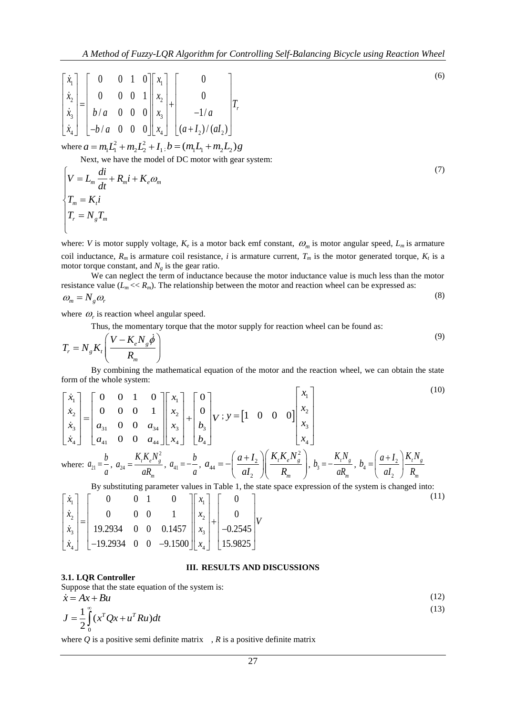|  |  |  | $\begin{bmatrix} \dot{x}_1 \\ \dot{x}_2 \\ \dot{x}_3 \\ \dot{x}_4 \end{bmatrix} = \begin{bmatrix} 0 & 0 & 1 & 0 \\ 0 & 0 & 0 & 1 \\ b/a & 0 & 0 & 0 \\ -b/a & 0 & 0 & 0 \end{bmatrix} \begin{bmatrix} x_1 \\ x_2 \\ x_3 \\ x_4 \end{bmatrix} + \begin{bmatrix} 0 \\ 0 \\ -1/a \\ (a+I_2)/(aI_2) \end{bmatrix} T,$ |
|--|--|--|-------------------------------------------------------------------------------------------------------------------------------------------------------------------------------------------------------------------------------------------------------------------------------------------------------------------|
|  |  |  |                                                                                                                                                                                                                                                                                                                   |

where  $a = m_1 L_1^2 + m_2 L_2^2 + I_1$ ;  $b = (m_1 L_1 + m_2 L_2) g$ 

Next, we have the model of DC motor with gear system:

$$
\begin{cases}\nV = L_m \frac{di}{dt} + R_m i + K_e \omega_m \\
T_m = K_i i \\
T_r = N_g T_m\n\end{cases} (7)
$$

where: *V* is motor supply voltage,  $K_e$  is a motor back emf constant,  $\omega_m$  is motor angular speed,  $L_m$  is armature coil inductance,  $R_m$  is armature coil resistance, *i* is armature current,  $T_m$  is the motor generated torque,  $K_t$  is a motor torque constant, and  $N<sub>g</sub>$  is the gear ratio.

We can neglect the term of inductance because the motor inductance value is much less than the motor resistance value  $(L_m \ll R_m)$ . The relationship between the motor and reaction wheel can be expressed as:  $\omega_m = N_g \omega_r$ (8)

where  $\omega_r$  is reaction wheel angular speed.

Thus, the momentary torque that the motor supply for reaction wheel can be found as:  
\n
$$
T_r = N_g K_t \left( \frac{V - K_e N_g \dot{\phi}}{R_m} \right)
$$
\n(9)

By combining the mathematical equation of the motor and the reaction wheel, we can obtain the state  $F \cap T$  $(10)$ 

$$
\begin{bmatrix}\n\dot{x}_1 \\
\dot{x}_2 \\
\dot{x}_3 \\
\dot{x}_4\n\end{bmatrix} = \begin{bmatrix}\n0 & 0 & 1 & 0 \\
0 & 0 & 0 & 1 \\
b/a & 0 & 0 & 0 \\
-b/a & 0 & 0 & 0\n\end{bmatrix}\n\begin{bmatrix}\nx_1 \\
x_2 \\
x_3\n\end{bmatrix} + \begin{bmatrix}\n0 \\
-1/a \\
a+b\end{bmatrix}T, \\
\text{where } a = m_1\vec{L}_1^2 + m_2\vec{L}_2^2 + I_1, b = (m_1\vec{L}_1 + m_2\vec{L}_2)g \\
\text{where } a = m_1\vec{L}_1^2 + m_2\vec{L}_2^2 + I_1, b = (m_1\vec{L}_1 + m_2\vec{L}_2)g \\
T_m = K_1\vec{d}
$$
\nwhere: *V* is motor supply voltage, *K<sub>e</sub>* is a motor back emf constant,  $\omega_m$  is motor angular speed, *L<sub>m</sub>* is armature  
not not inductance, *R<sub>m</sub>* is armature with gerar system:  
not to the case under the form of inductance because the motor inductance value is much less than the motor  
matrix value, *R<sub>m</sub>* is a matter of 0 resistance value, *K<sub>n</sub>* is an matter current, *T<sub>m</sub>* is the motor generated torque, *K<sub>n</sub>* is a  
reduced value  $(I_m << R_m)$ . The relationship between the motor and reaction wheel can be expressed as:  
 $\omega_m = N_g \omega$ ,  
where  $\omega_r$  is reaction wheel angular speed.  
Thus, the momentum of the whole system:  
 $\mathbf{F} = N_g K_s \left(\frac{V - K_s N_g \phi}{R_m}\right)$   
By combining the mathematical equation of the motor and the reaction wheel, we can obtain the state  
from of the whole system:  
 $\begin{aligned}\n\dot{x}_1 \\
\dot{x}_2 \\
\dot{x}_3\n\end{aligned} = \begin{bmatrix}\n0 & 0 & 0 & 1 \\
0 & 0 & 0 & 1 \\
a_{31} & 0 & 0 & a_{44} \\
a_{41} & 0 & 0 & a_{44}\n\end{bmatrix}\n\begin{bmatrix}\nx_1 \\
x_2 \\
x_3\n\end{bmatrix} + \begin{bmatrix}\n0 \\
0 \\
b_1 \\
c_2\n\end{bmatrix}V;$ 

By substituting parameter values in Table 1, the state space expression of the system is changed into:

By substituting parameter values in Table 1, the state span  
\n
$$
\begin{bmatrix} \dot{x}_1 \\ \dot{x}_2 \\ \dot{x}_3 \\ \dot{x}_4 \end{bmatrix} = \begin{bmatrix} 0 & 0 & 1 & 0 \\ 0 & 0 & 0 & 1 \\ 19.2934 & 0 & 0 & 0.1457 \\ -19.2934 & 0 & 0 & -9.1500 \end{bmatrix} \begin{bmatrix} x_1 \\ x_2 \\ x_3 \\ x_4 \end{bmatrix} + \begin{bmatrix} 0 \\ 0 \\ -0.2545 \\ 15.9825 \end{bmatrix} V
$$

## **III. RESULTS AND DISCUSSIONS**

# **3.1. LQR Controller**

Suppose that the state equation of the system is:

$$
\begin{aligned}\n\dot{x} &= Ax + Bu \tag{12} \\
J &= \frac{1}{2} \int_{0}^{\infty} (x^T Q x + u^T R u) dt \tag{13}\n\end{aligned}
$$

where  $Q$  is a positive semi definite matrix ,  $R$  is a positive definite matrix

(6)

(11)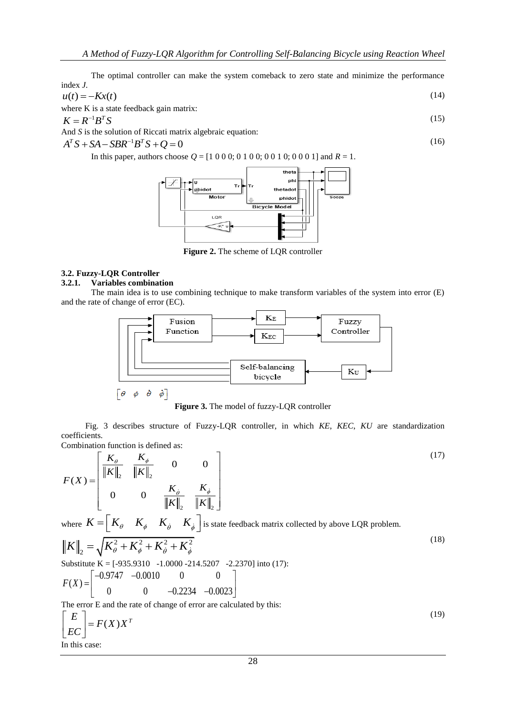(15)

(16)

The optimal controller can make the system comeback to zero state and minimize the performance index *J.*

$$
u(t) = -Kx(t) \tag{14}
$$

where K is a state feedback gain matrix:

$$
K = R^{-1}B^T S
$$

And *S* is the solution of Riccati matrix algebraic equation:<br> $A^T S + SA - SBR^{-1}B^T S + Q = 0$ 

$$
A^T S + SA - SBR^{-1}B^T S + Q = 0
$$

In this paper, authors choose *Q* = [1 0 0 0; 0 1 0 0; 0 0 1 0; 0 0 0 1] and *R* = 1.



**Figure 2.** The scheme of LQR controller

# **3.2. Fuzzy-LQR Controller**

## **3.2.1. Variables combination**

The main idea is to use combining technique to make transform variables of the system into error (E) and the rate of change of error (EC).



$$
\left[ \begin{matrix} \theta & \phi & \dot{\theta} & \dot{\phi} \end{matrix} \right]
$$

**Figure 3.** The model of fuzzy-LQR controller

Fig. 3 describes structure of Fuzzy-LQR controller, in which *KE*, *KEC*, *KU* are standardization coefficients.

Combination function is defined as:  
\n
$$
F(X) = \begin{bmatrix} \frac{K_{\theta}}{\|K\|_2} & \frac{K_{\phi}}{\|K\|_2} & 0 & 0 \\ 0 & 0 & \frac{K_{\dot{\theta}}}{\|K\|_2} & \frac{K_{\dot{\theta}}}{\|K\|_2} \end{bmatrix}
$$
\nwhere  $K = \begin{bmatrix} K_{\theta} & K_{\phi} & K_{\dot{\theta}} & K_{\dot{\phi}} \\ K_{\phi} & K_{\phi} & K_{\dot{\phi}} \end{bmatrix}$  is state feedback matrix collected by above LQR problem.  
\n
$$
\|K\|_2 = \sqrt{K_{\theta}^2 + K_{\phi}^2 + K_{\dot{\theta}}^2 + K_{\dot{\phi}}^2}
$$
\nSubstitute  $K = [-935.9310 - 1.0000 - 214.5207 - 2.2370]$  into (17):  
\n
$$
F(X) = \begin{bmatrix} -0.9747 & -0.0010 & 0 & 0 \\ 0 & 0 & -0.2234 & -0.0023 \end{bmatrix}
$$
\nThe error E and the rate of change of error are calculated by this:  
\n
$$
\begin{bmatrix} E \\ EC \end{bmatrix} = F(X)X^T
$$
\n(19)

In this case: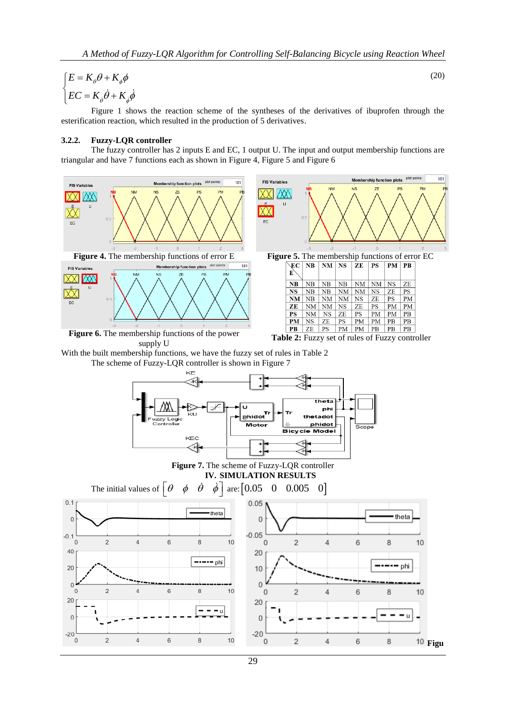$$
\begin{cases}\nE = K_{\theta} \theta + K_{\phi} \phi \\
EC = K_{\theta} \dot{\theta} + K_{\phi} \dot{\phi}\n\end{cases}
$$
\n(20)

Figure 1 shows the reaction scheme of the syntheses of the derivatives of ibuprofen through the esterification reaction, which resulted in the production of 5 derivatives.

#### **3.2.2. Fuzzy-LQR controller**

The fuzzy controller has 2 inputs E and EC, 1 output U. The input and output membership functions are triangular and have 7 functions each as shown in Figure 4, Figure 5 and Figure 6